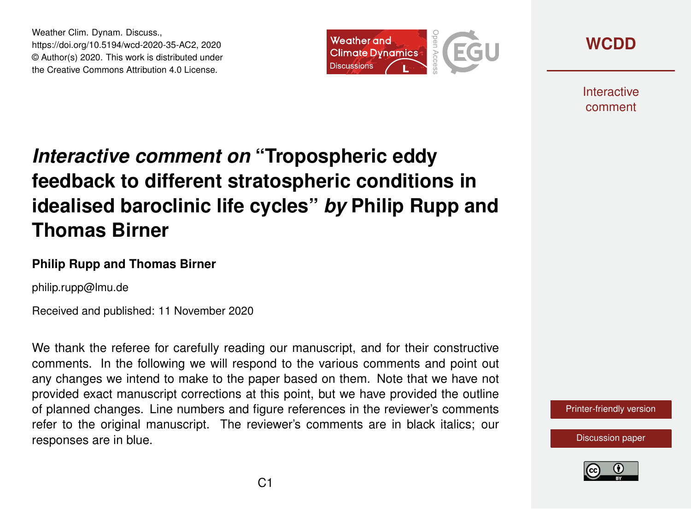Weather Clim. Dynam. Discuss., https://doi.org/10.5194/wcd-2020-35-AC2, 2020 © Author(s) 2020. This work is distributed under the Creative Commons Attribution 4.0 License.



**[WCDD](https://wcd.copernicus.org/preprints/)**

**Interactive** comment

# *Interactive comment on* **"Tropospheric eddy feedback to different stratospheric conditions in idealised baroclinic life cycles"** *by* **Philip Rupp and Thomas Birner**

### **Philip Rupp and Thomas Birner**

philip.rupp@lmu.de

Received and published: 11 November 2020

We thank the referee for carefully reading our manuscript, and for their constructive comments. In the following we will respond to the various comments and point out any changes we intend to make to the paper based on them. Note that we have not provided exact manuscript corrections at this point, but we have provided the outline of planned changes. Line numbers and figure references in the reviewer's comments refer to the original manuscript. The reviewer's comments are in black italics; our responses are in blue.

[Printer-friendly version](https://wcd.copernicus.org/preprints/wcd-2020-35/wcd-2020-35-AC2-print.pdf)

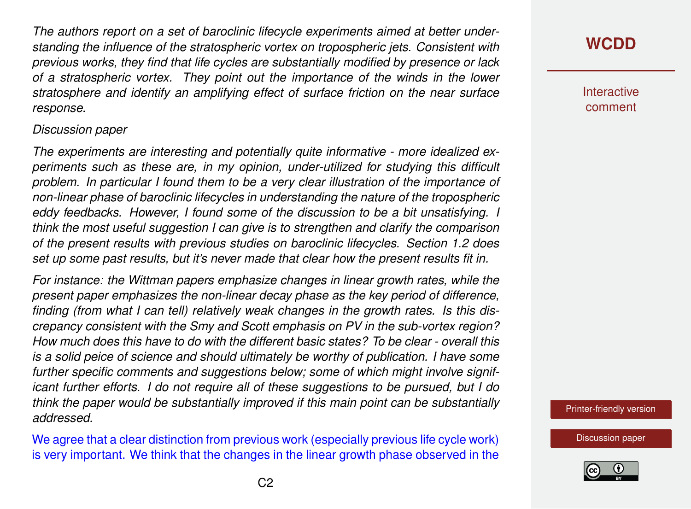*The authors report on a set of baroclinic lifecycle experiments aimed at better understanding the influence of the stratospheric vortex on tropospheric jets. Consistent with previous works, they find that life cycles are substantially modified by presence or lack of a stratospheric vortex. They point out the importance of the winds in the lower stratosphere and identify an amplifying effect of surface friction on the near surface response.*

#### *Discussion paper*

*The experiments are interesting and potentially quite informative - more idealized experiments such as these are, in my opinion, under-utilized for studying this difficult problem. In particular I found them to be a very clear illustration of the importance of non-linear phase of baroclinic lifecycles in understanding the nature of the tropospheric eddy feedbacks. However, I found some of the discussion to be a bit unsatisfying. I think the most useful suggestion I can give is to strengthen and clarify the comparison of the present results with previous studies on baroclinic lifecycles. Section 1.2 does set up some past results, but it's never made that clear how the present results fit in.*

*For instance: the Wittman papers emphasize changes in linear growth rates, while the present paper emphasizes the non-linear decay phase as the key period of difference, finding (from what I can tell) relatively weak changes in the growth rates. Is this discrepancy consistent with the Smy and Scott emphasis on PV in the sub-vortex region? How much does this have to do with the different basic states? To be clear - overall this is a solid peice of science and should ultimately be worthy of publication. I have some further specific comments and suggestions below; some of which might involve significant further efforts. I do not require all of these suggestions to be pursued, but I do think the paper would be substantially improved if this main point can be substantially addressed.*

We agree that a clear distinction from previous work (especially previous life cycle work) is very important. We think that the changes in the linear growth phase observed in the

### **[WCDD](https://wcd.copernicus.org/preprints/)**

**Interactive** comment

[Printer-friendly version](https://wcd.copernicus.org/preprints/wcd-2020-35/wcd-2020-35-AC2-print.pdf)

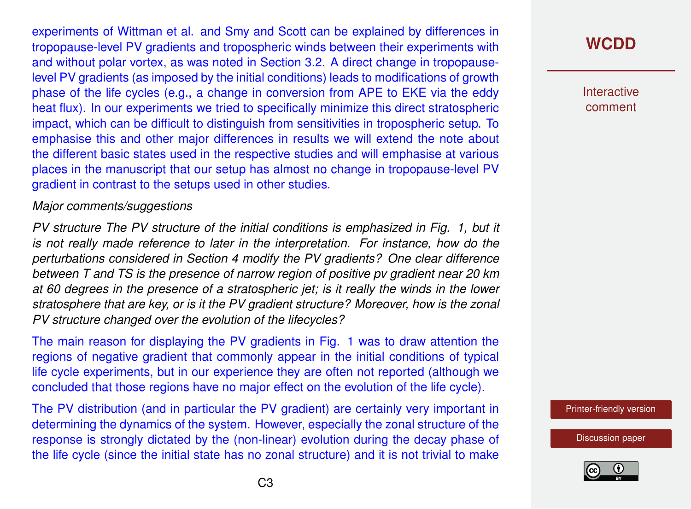experiments of Wittman et al. and Smy and Scott can be explained by differences in tropopause-level PV gradients and tropospheric winds between their experiments with and without polar vortex, as was noted in Section 3.2. A direct change in tropopauselevel PV gradients (as imposed by the initial conditions) leads to modifications of growth phase of the life cycles (e.g., a change in conversion from APE to EKE via the eddy heat flux). In our experiments we tried to specifically minimize this direct stratospheric impact, which can be difficult to distinguish from sensitivities in tropospheric setup. To emphasise this and other major differences in results we will extend the note about the different basic states used in the respective studies and will emphasise at various places in the manuscript that our setup has almost no change in tropopause-level PV gradient in contrast to the setups used in other studies.

#### *Major comments/suggestions*

*PV structure The PV structure of the initial conditions is emphasized in Fig. 1, but it is not really made reference to later in the interpretation. For instance, how do the perturbations considered in Section 4 modify the PV gradients? One clear difference between T and TS is the presence of narrow region of positive pv gradient near 20 km at 60 degrees in the presence of a stratospheric jet; is it really the winds in the lower stratosphere that are key, or is it the PV gradient structure? Moreover, how is the zonal PV structure changed over the evolution of the lifecycles?*

The main reason for displaying the PV gradients in Fig. 1 was to draw attention the regions of negative gradient that commonly appear in the initial conditions of typical life cycle experiments, but in our experience they are often not reported (although we concluded that those regions have no major effect on the evolution of the life cycle).

The PV distribution (and in particular the PV gradient) are certainly very important in determining the dynamics of the system. However, especially the zonal structure of the response is strongly dictated by the (non-linear) evolution during the decay phase of the life cycle (since the initial state has no zonal structure) and it is not trivial to make

## **[WCDD](https://wcd.copernicus.org/preprints/)**

**Interactive** comment

[Printer-friendly version](https://wcd.copernicus.org/preprints/wcd-2020-35/wcd-2020-35-AC2-print.pdf)

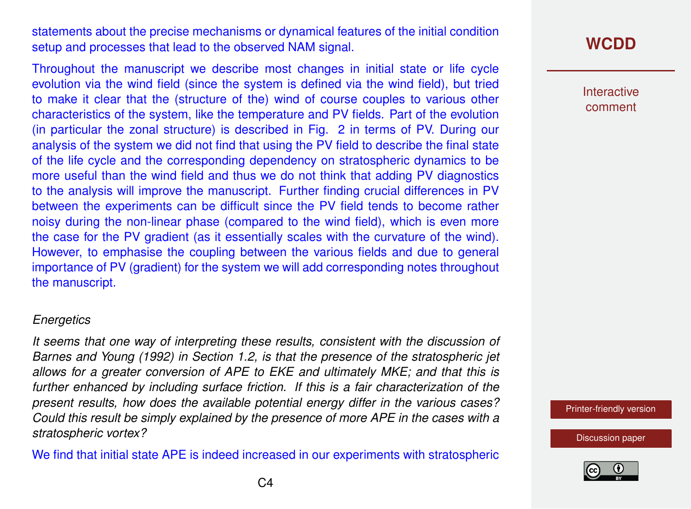statements about the precise mechanisms or dynamical features of the initial condition setup and processes that lead to the observed NAM signal.

Throughout the manuscript we describe most changes in initial state or life cycle evolution via the wind field (since the system is defined via the wind field), but tried to make it clear that the (structure of the) wind of course couples to various other characteristics of the system, like the temperature and PV fields. Part of the evolution (in particular the zonal structure) is described in Fig. 2 in terms of PV. During our analysis of the system we did not find that using the PV field to describe the final state of the life cycle and the corresponding dependency on stratospheric dynamics to be more useful than the wind field and thus we do not think that adding PV diagnostics to the analysis will improve the manuscript. Further finding crucial differences in PV between the experiments can be difficult since the PV field tends to become rather noisy during the non-linear phase (compared to the wind field), which is even more the case for the PV gradient (as it essentially scales with the curvature of the wind). However, to emphasise the coupling between the various fields and due to general importance of PV (gradient) for the system we will add corresponding notes throughout the manuscript.

#### *Energetics*

*It seems that one way of interpreting these results, consistent with the discussion of Barnes and Young (1992) in Section 1.2, is that the presence of the stratospheric jet allows for a greater conversion of APE to EKE and ultimately MKE; and that this is further enhanced by including surface friction. If this is a fair characterization of the present results, how does the available potential energy differ in the various cases? Could this result be simply explained by the presence of more APE in the cases with a stratospheric vortex?*

We find that initial state APE is indeed increased in our experiments with stratospheric

### **[WCDD](https://wcd.copernicus.org/preprints/)**

Interactive comment

[Printer-friendly version](https://wcd.copernicus.org/preprints/wcd-2020-35/wcd-2020-35-AC2-print.pdf)

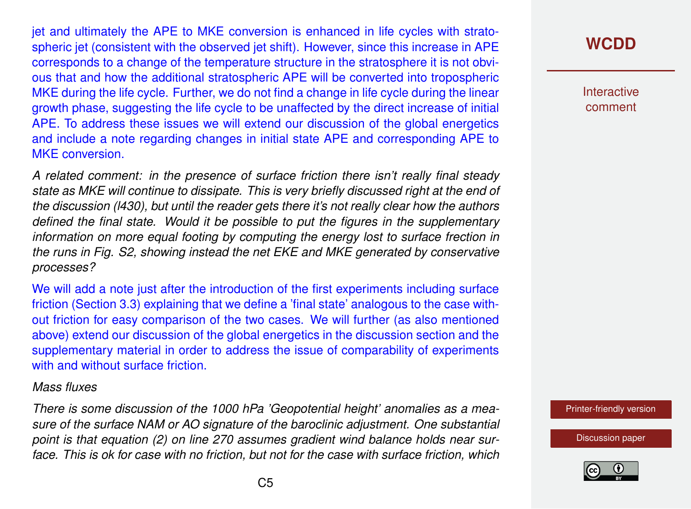jet and ultimately the APE to MKE conversion is enhanced in life cycles with stratospheric jet (consistent with the observed jet shift). However, since this increase in APE corresponds to a change of the temperature structure in the stratosphere it is not obvious that and how the additional stratospheric APE will be converted into tropospheric MKE during the life cycle. Further, we do not find a change in life cycle during the linear growth phase, suggesting the life cycle to be unaffected by the direct increase of initial APE. To address these issues we will extend our discussion of the global energetics and include a note regarding changes in initial state APE and corresponding APE to MKE conversion.

*A related comment: in the presence of surface friction there isn't really final steady state as MKE will continue to dissipate. This is very briefly discussed right at the end of the discussion (l430), but until the reader gets there it's not really clear how the authors defined the final state. Would it be possible to put the figures in the supplementary information on more equal footing by computing the energy lost to surface frection in the runs in Fig. S2, showing instead the net EKE and MKE generated by conservative processes?*

We will add a note just after the introduction of the first experiments including surface friction (Section 3.3) explaining that we define a 'final state' analogous to the case without friction for easy comparison of the two cases. We will further (as also mentioned above) extend our discussion of the global energetics in the discussion section and the supplementary material in order to address the issue of comparability of experiments with and without surface friction

#### *Mass fluxes*

*There is some discussion of the 1000 hPa 'Geopotential height' anomalies as a measure of the surface NAM or AO signature of the baroclinic adjustment. One substantial point is that equation (2) on line 270 assumes gradient wind balance holds near surface. This is ok for case with no friction, but not for the case with surface friction, which*

## **[WCDD](https://wcd.copernicus.org/preprints/)**

**Interactive** comment

[Printer-friendly version](https://wcd.copernicus.org/preprints/wcd-2020-35/wcd-2020-35-AC2-print.pdf)

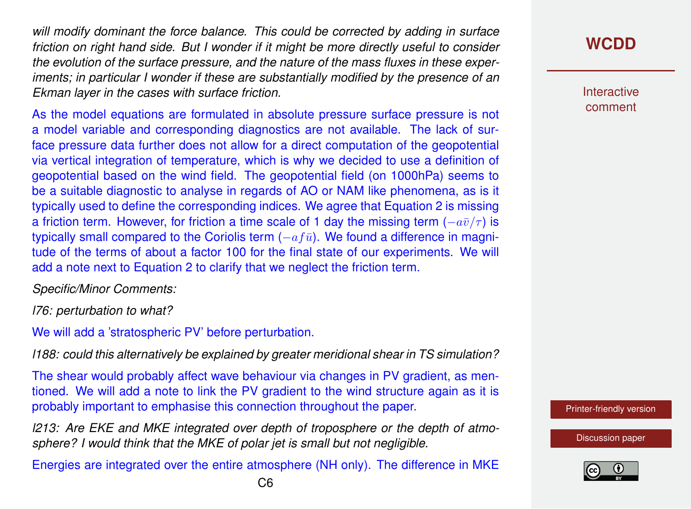*will modify dominant the force balance. This could be corrected by adding in surface friction on right hand side. But I wonder if it might be more directly useful to consider the evolution of the surface pressure, and the nature of the mass fluxes in these experiments; in particular I wonder if these are substantially modified by the presence of an Ekman layer in the cases with surface friction.*

As the model equations are formulated in absolute pressure surface pressure is not a model variable and corresponding diagnostics are not available. The lack of surface pressure data further does not allow for a direct computation of the geopotential via vertical integration of temperature, which is why we decided to use a definition of geopotential based on the wind field. The geopotential field (on 1000hPa) seems to be a suitable diagnostic to analyse in regards of AO or NAM like phenomena, as is it typically used to define the corresponding indices. We agree that Equation 2 is missing a friction term. However, for friction a time scale of 1 day the missing term  $(-a\bar{v}/\tau)$  is typically small compared to the Coriolis term  $(-a f \bar{u})$ . We found a difference in magnitude of the terms of about a factor 100 for the final state of our experiments. We will add a note next to Equation 2 to clarify that we neglect the friction term.

*Specific/Minor Comments:*

*l76: perturbation to what?*

We will add a 'stratospheric PV' before perturbation.

*l188: could this alternatively be explained by greater meridional shear in TS simulation?*

The shear would probably affect wave behaviour via changes in PV gradient, as mentioned. We will add a note to link the PV gradient to the wind structure again as it is probably important to emphasise this connection throughout the paper.

*l213: Are EKE and MKE integrated over depth of troposphere or the depth of atmosphere? I would think that the MKE of polar jet is small but not negligible.*

Energies are integrated over the entire atmosphere (NH only). The difference in MKE

**Interactive** comment

[Printer-friendly version](https://wcd.copernicus.org/preprints/wcd-2020-35/wcd-2020-35-AC2-print.pdf)

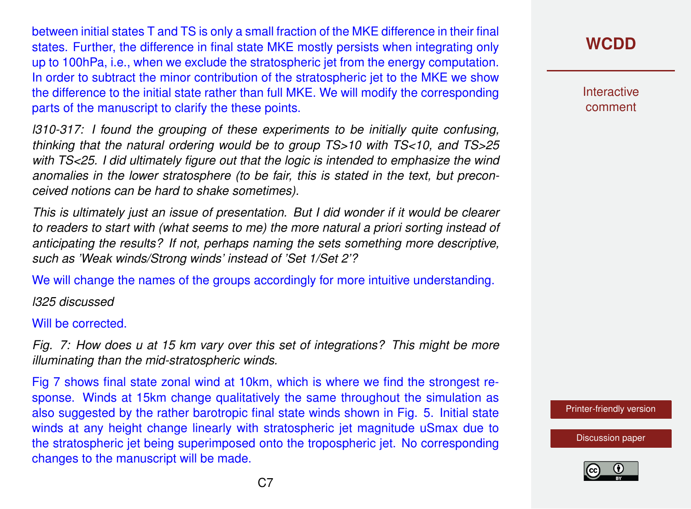between initial states T and TS is only a small fraction of the MKE difference in their final states. Further, the difference in final state MKE mostly persists when integrating only up to 100hPa, i.e., when we exclude the stratospheric jet from the energy computation. In order to subtract the minor contribution of the stratospheric jet to the MKE we show the difference to the initial state rather than full MKE. We will modify the corresponding parts of the manuscript to clarify the these points.

*l310-317: I found the grouping of these experiments to be initially quite confusing, thinking that the natural ordering would be to group TS>10 with TS<10, and TS>25 with TS<25. I did ultimately figure out that the logic is intended to emphasize the wind anomalies in the lower stratosphere (to be fair, this is stated in the text, but preconceived notions can be hard to shake sometimes).*

*This is ultimately just an issue of presentation. But I did wonder if it would be clearer to readers to start with (what seems to me) the more natural a priori sorting instead of anticipating the results? If not, perhaps naming the sets something more descriptive, such as 'Weak winds/Strong winds' instead of 'Set 1/Set 2'?*

We will change the names of the groups accordingly for more intuitive understanding.

*l325 discussed*

Will be corrected.

*Fig. 7: How does u at 15 km vary over this set of integrations? This might be more illuminating than the mid-stratospheric winds.*

Fig 7 shows final state zonal wind at 10km, which is where we find the strongest response. Winds at 15km change qualitatively the same throughout the simulation as also suggested by the rather barotropic final state winds shown in Fig. 5. Initial state winds at any height change linearly with stratospheric jet magnitude uSmax due to the stratospheric jet being superimposed onto the tropospheric jet. No corresponding changes to the manuscript will be made.

**[WCDD](https://wcd.copernicus.org/preprints/)**

**Interactive** comment

[Printer-friendly version](https://wcd.copernicus.org/preprints/wcd-2020-35/wcd-2020-35-AC2-print.pdf)